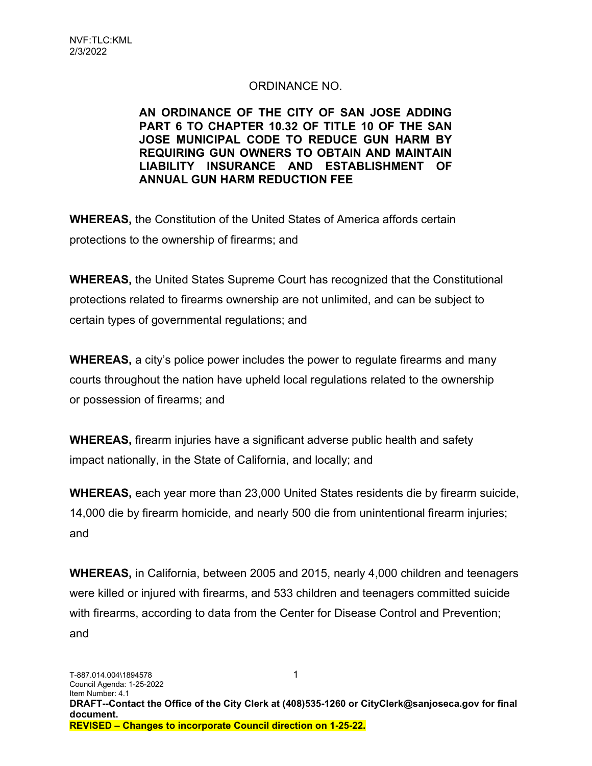# ORDINANCE NO.

#### AN ORDINANCE OF THE CITY OF SAN JOSE ADDING PART 6 TO CHAPTER 10.32 OF TITLE 10 OF THE SAN JOSE MUNICIPAL CODE TO REDUCE GUN HARM BY REQUIRING GUN OWNERS TO OBTAIN AND MAINTAIN LIABILITY INSURANCE AND ESTABLISHMENT OF ANNUAL GUN HARM REDUCTION FEE

WHEREAS, the Constitution of the United States of America affords certain protections to the ownership of firearms; and

WHEREAS, the United States Supreme Court has recognized that the Constitutional protections related to firearms ownership are not unlimited, and can be subject to certain types of governmental regulations; and

WHEREAS, a city's police power includes the power to regulate firearms and many courts throughout the nation have upheld local regulations related to the ownership or possession of firearms; and

WHEREAS, firearm injuries have a significant adverse public health and safety impact nationally, in the State of California, and locally; and

WHEREAS, each year more than 23,000 United States residents die by firearm suicide, 14,000 die by firearm homicide, and nearly 500 die from unintentional firearm injuries; and

WHEREAS, in California, between 2005 and 2015, nearly 4,000 children and teenagers were killed or injured with firearms, and 533 children and teenagers committed suicide with firearms, according to data from the Center for Disease Control and Prevention; and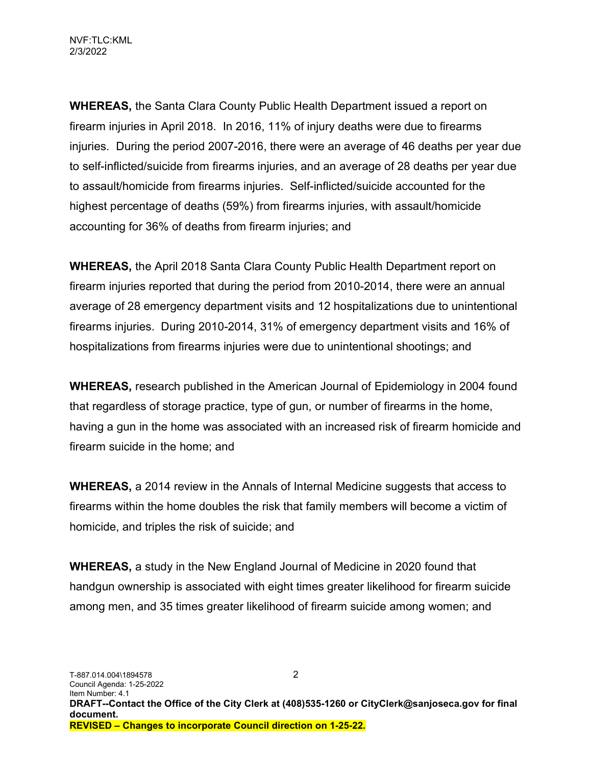WHEREAS, the Santa Clara County Public Health Department issued a report on firearm injuries in April 2018. In 2016, 11% of injury deaths were due to firearms injuries. During the period 2007-2016, there were an average of 46 deaths per year due to self-inflicted/suicide from firearms injuries, and an average of 28 deaths per year due to assault/homicide from firearms injuries. Self-inflicted/suicide accounted for the highest percentage of deaths (59%) from firearms injuries, with assault/homicide accounting for 36% of deaths from firearm injuries; and

WHEREAS, the April 2018 Santa Clara County Public Health Department report on firearm injuries reported that during the period from 2010-2014, there were an annual average of 28 emergency department visits and 12 hospitalizations due to unintentional firearms injuries. During 2010-2014, 31% of emergency department visits and 16% of hospitalizations from firearms injuries were due to unintentional shootings; and

WHEREAS, research published in the American Journal of Epidemiology in 2004 found that regardless of storage practice, type of gun, or number of firearms in the home, having a gun in the home was associated with an increased risk of firearm homicide and firearm suicide in the home; and

WHEREAS, a 2014 review in the Annals of Internal Medicine suggests that access to firearms within the home doubles the risk that family members will become a victim of homicide, and triples the risk of suicide; and

WHEREAS, a study in the New England Journal of Medicine in 2020 found that handgun ownership is associated with eight times greater likelihood for firearm suicide among men, and 35 times greater likelihood of firearm suicide among women; and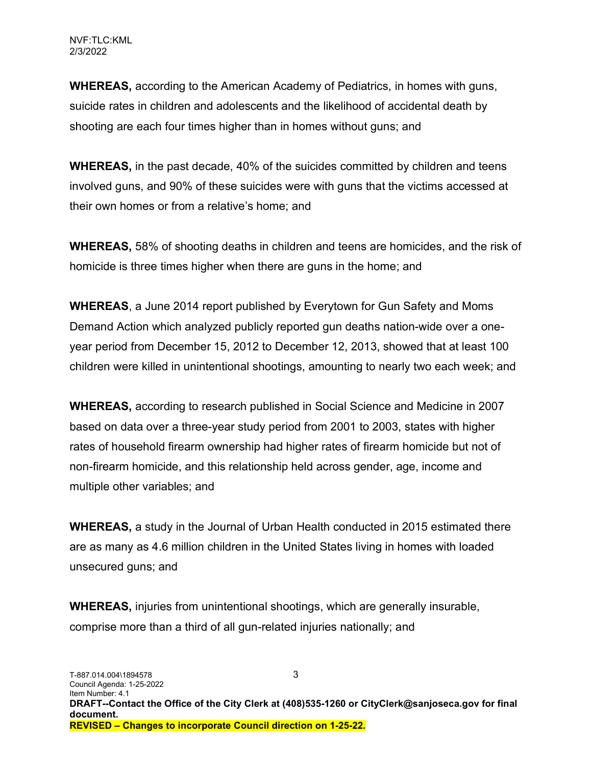WHEREAS, according to the American Academy of Pediatrics, in homes with guns, suicide rates in children and adolescents and the likelihood of accidental death by shooting are each four times higher than in homes without guns; and

WHEREAS, in the past decade, 40% of the suicides committed by children and teens involved guns, and 90% of these suicides were with guns that the victims accessed at their own homes or from a relative's home; and

WHEREAS, 58% of shooting deaths in children and teens are homicides, and the risk of homicide is three times higher when there are guns in the home; and

WHEREAS, a June 2014 report published by Everytown for Gun Safety and Moms Demand Action which analyzed publicly reported gun deaths nation-wide over a oneyear period from December 15, 2012 to December 12, 2013, showed that at least 100 children were killed in unintentional shootings, amounting to nearly two each week; and

WHEREAS, according to research published in Social Science and Medicine in 2007 based on data over a three-year study period from 2001 to 2003, states with higher rates of household firearm ownership had higher rates of firearm homicide but not of non-firearm homicide, and this relationship held across gender, age, income and multiple other variables; and

WHEREAS, a study in the Journal of Urban Health conducted in 2015 estimated there are as many as 4.6 million children in the United States living in homes with loaded unsecured guns; and

WHEREAS, injuries from unintentional shootings, which are generally insurable, comprise more than a third of all gun-related injuries nationally; and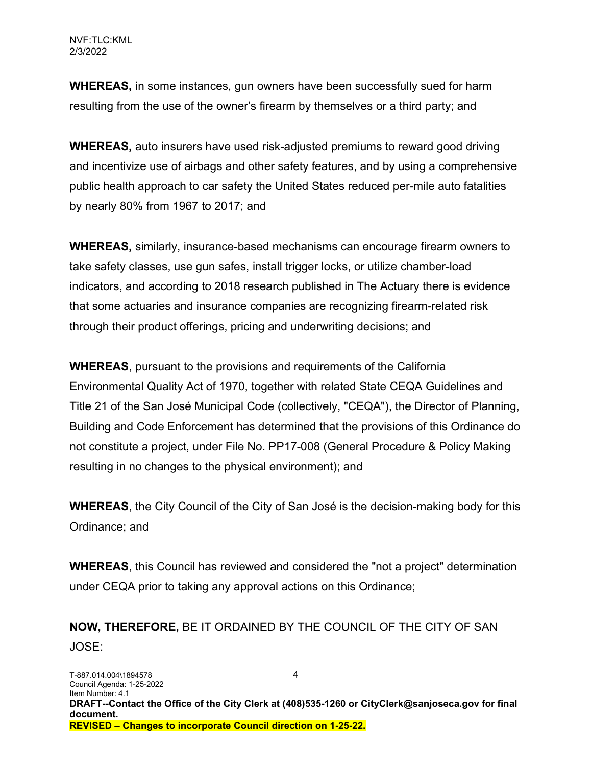WHEREAS, in some instances, gun owners have been successfully sued for harm resulting from the use of the owner's firearm by themselves or a third party; and

WHEREAS, auto insurers have used risk-adjusted premiums to reward good driving and incentivize use of airbags and other safety features, and by using a comprehensive public health approach to car safety the United States reduced per-mile auto fatalities by nearly 80% from 1967 to 2017; and

WHEREAS, similarly, insurance-based mechanisms can encourage firearm owners to take safety classes, use gun safes, install trigger locks, or utilize chamber-load indicators, and according to 2018 research published in The Actuary there is evidence that some actuaries and insurance companies are recognizing firearm-related risk through their product offerings, pricing and underwriting decisions; and

WHEREAS, pursuant to the provisions and requirements of the California Environmental Quality Act of 1970, together with related State CEQA Guidelines and Title 21 of the San José Municipal Code (collectively, "CEQA"), the Director of Planning, Building and Code Enforcement has determined that the provisions of this Ordinance do not constitute a project, under File No. PP17-008 (General Procedure & Policy Making resulting in no changes to the physical environment); and

WHEREAS, the City Council of the City of San José is the decision-making body for this Ordinance; and

WHEREAS, this Council has reviewed and considered the "not a project" determination under CEQA prior to taking any approval actions on this Ordinance;

NOW, THEREFORE, BE IT ORDAINED BY THE COUNCIL OF THE CITY OF SAN JOSE: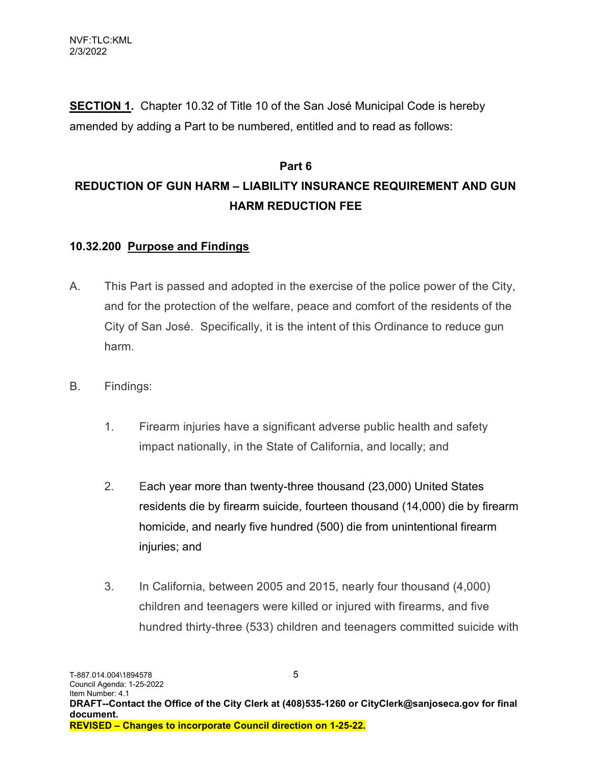**SECTION 1.** Chapter 10.32 of Title 10 of the San José Municipal Code is hereby amended by adding a Part to be numbered, entitled and to read as follows:

# Part 6 REDUCTION OF GUN HARM – LIABILITY INSURANCE REQUIREMENT AND GUN HARM REDUCTION FEE

## 10.32.200 Purpose and Findings

- A. This Part is passed and adopted in the exercise of the police power of the City, and for the protection of the welfare, peace and comfort of the residents of the City of San José. Specifically, it is the intent of this Ordinance to reduce gun harm.
- B. Findings:
	- 1. Firearm injuries have a significant adverse public health and safety impact nationally, in the State of California, and locally; and
	- 2. Each year more than twenty-three thousand (23,000) United States residents die by firearm suicide, fourteen thousand (14,000) die by firearm homicide, and nearly five hundred (500) die from unintentional firearm injuries; and
	- 3. In California, between 2005 and 2015, nearly four thousand (4,000) children and teenagers were killed or injured with firearms, and five hundred thirty-three (533) children and teenagers committed suicide with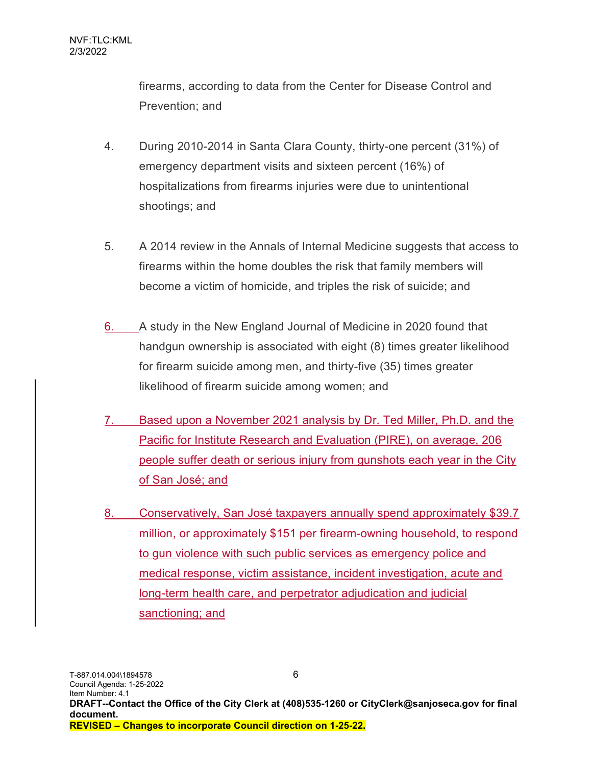firearms, according to data from the Center for Disease Control and Prevention; and

- 4. During 2010-2014 in Santa Clara County, thirty-one percent (31%) of emergency department visits and sixteen percent (16%) of hospitalizations from firearms injuries were due to unintentional shootings; and
- 5. A 2014 review in the Annals of Internal Medicine suggests that access to firearms within the home doubles the risk that family members will become a victim of homicide, and triples the risk of suicide; and
- 6. A study in the New England Journal of Medicine in 2020 found that handgun ownership is associated with eight (8) times greater likelihood for firearm suicide among men, and thirty-five (35) times greater likelihood of firearm suicide among women; and
- 7. Based upon a November 2021 analysis by Dr. Ted Miller, Ph.D. and the Pacific for Institute Research and Evaluation (PIRE), on average, 206 people suffer death or serious injury from gunshots each year in the City of San José; and
- 8. Conservatively, San José taxpayers annually spend approximately \$39.7 million, or approximately \$151 per firearm-owning household, to respond to gun violence with such public services as emergency police and medical response, victim assistance, incident investigation, acute and long-term health care, and perpetrator adjudication and judicial sanctioning; and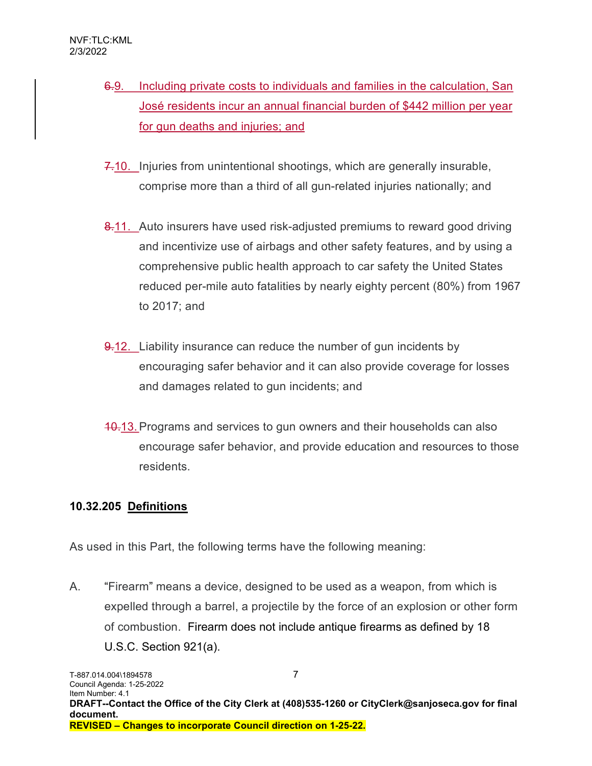- 6.9. Including private costs to individuals and families in the calculation, San José residents incur an annual financial burden of \$442 million per year for gun deaths and injuries; and
- 7.10. Injuries from unintentional shootings, which are generally insurable, comprise more than a third of all gun-related injuries nationally; and
- 8.11. Auto insurers have used risk-adjusted premiums to reward good driving and incentivize use of airbags and other safety features, and by using a comprehensive public health approach to car safety the United States reduced per-mile auto fatalities by nearly eighty percent (80%) from 1967 to 2017; and
- 9.12. Liability insurance can reduce the number of gun incidents by encouraging safer behavior and it can also provide coverage for losses and damages related to gun incidents; and
- 10.13. Programs and services to gun owners and their households can also encourage safer behavior, and provide education and resources to those residents.

# 10.32.205 Definitions

As used in this Part, the following terms have the following meaning:

A. "Firearm" means a device, designed to be used as a weapon, from which is expelled through a barrel, a projectile by the force of an explosion or other form of combustion. Firearm does not include antique firearms as defined by 18 U.S.C. Section 921(a).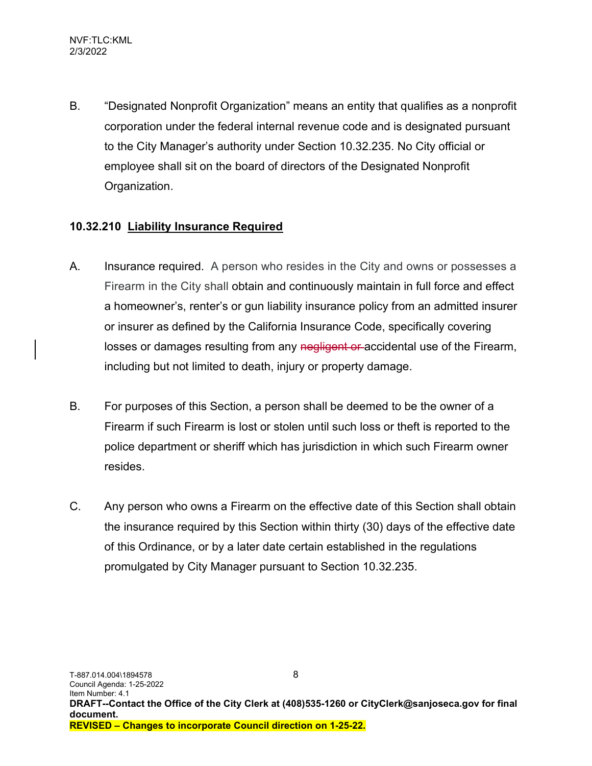B. "Designated Nonprofit Organization" means an entity that qualifies as a nonprofit corporation under the federal internal revenue code and is designated pursuant to the City Manager's authority under Section 10.32.235. No City official or employee shall sit on the board of directors of the Designated Nonprofit Organization.

## 10.32.210 Liability Insurance Required

- A. Insurance required. A person who resides in the City and owns or possesses a Firearm in the City shall obtain and continuously maintain in full force and effect a homeowner's, renter's or gun liability insurance policy from an admitted insurer or insurer as defined by the California Insurance Code, specifically covering losses or damages resulting from any negligent or accidental use of the Firearm, including but not limited to death, injury or property damage.
- B. For purposes of this Section, a person shall be deemed to be the owner of a Firearm if such Firearm is lost or stolen until such loss or theft is reported to the police department or sheriff which has jurisdiction in which such Firearm owner resides.
- C. Any person who owns a Firearm on the effective date of this Section shall obtain the insurance required by this Section within thirty (30) days of the effective date of this Ordinance, or by a later date certain established in the regulations promulgated by City Manager pursuant to Section 10.32.235.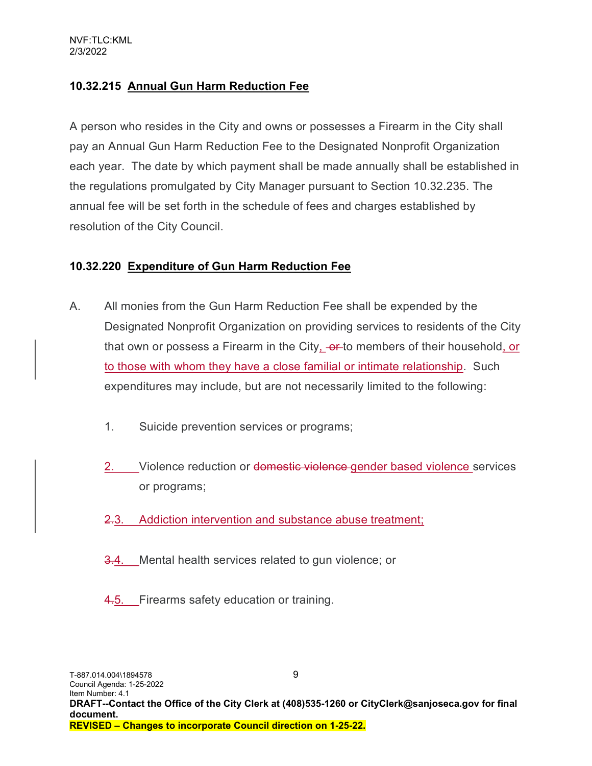# 10.32.215 Annual Gun Harm Reduction Fee

A person who resides in the City and owns or possesses a Firearm in the City shall pay an Annual Gun Harm Reduction Fee to the Designated Nonprofit Organization each year. The date by which payment shall be made annually shall be established in the regulations promulgated by City Manager pursuant to Section 10.32.235. The annual fee will be set forth in the schedule of fees and charges established by resolution of the City Council.

#### 10.32.220 Expenditure of Gun Harm Reduction Fee

- A. All monies from the Gun Harm Reduction Fee shall be expended by the Designated Nonprofit Organization on providing services to residents of the City that own or possess a Firearm in the City, -or-to members of their household, or to those with whom they have a close familial or intimate relationship. Such expenditures may include, but are not necessarily limited to the following:
	- 1. Suicide prevention services or programs;
	- 2. Violence reduction or domestic violence gender based violence services or programs;
	- 2.3. Addiction intervention and substance abuse treatment;
	- 3.4. Mental health services related to gun violence; or
	- 4.5. Firearms safety education or training.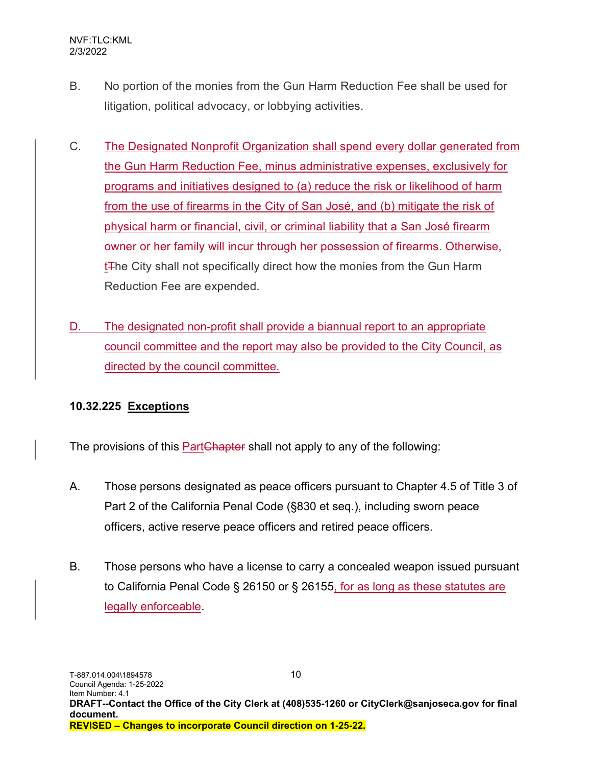- B. No portion of the monies from the Gun Harm Reduction Fee shall be used for litigation, political advocacy, or lobbying activities.
- C. The Designated Nonprofit Organization shall spend every dollar generated from the Gun Harm Reduction Fee, minus administrative expenses, exclusively for programs and initiatives designed to (a) reduce the risk or likelihood of harm from the use of firearms in the City of San José, and (b) mitigate the risk of physical harm or financial, civil, or criminal liability that a San José firearm owner or her family will incur through her possession of firearms. Otherwise, t<sub>The</sub> City shall not specifically direct how the monies from the Gun Harm Reduction Fee are expended.
- D. The designated non-profit shall provide a biannual report to an appropriate council committee and the report may also be provided to the City Council, as directed by the council committee.

# 10.32.225 Exceptions

The provisions of this **PartChapter** shall not apply to any of the following:

- A. Those persons designated as peace officers pursuant to Chapter 4.5 of Title 3 of Part 2 of the California Penal Code (§830 et seq.), including sworn peace officers, active reserve peace officers and retired peace officers.
- B. Those persons who have a license to carry a concealed weapon issued pursuant to California Penal Code § 26150 or § 26155, for as long as these statutes are legally enforceable.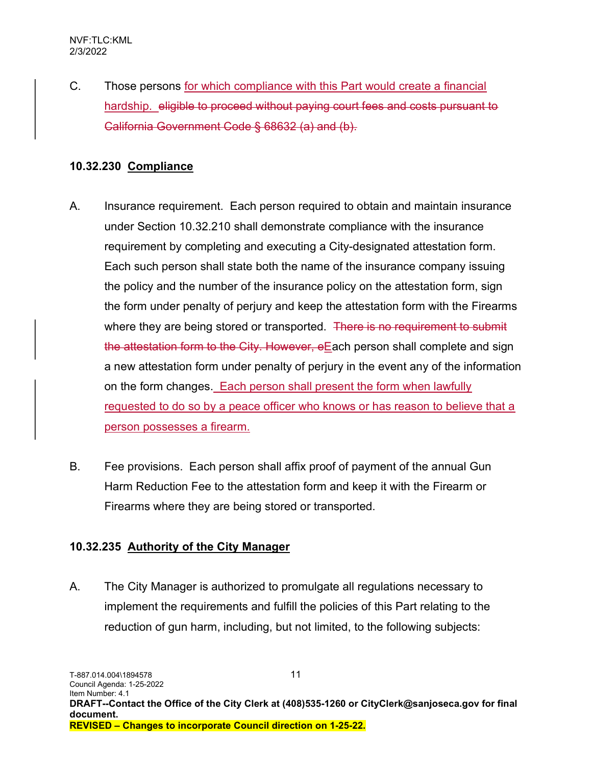C. Those persons for which compliance with this Part would create a financial hardship. eligible to proceed without paying court fees and costs pursuant to California Government Code § 68632 (a) and (b).

## 10.32.230 Compliance

- A. Insurance requirement. Each person required to obtain and maintain insurance under Section 10.32.210 shall demonstrate compliance with the insurance requirement by completing and executing a City-designated attestation form. Each such person shall state both the name of the insurance company issuing the policy and the number of the insurance policy on the attestation form, sign the form under penalty of perjury and keep the attestation form with the Firearms where they are being stored or transported. There is no requirement to submit the attestation form to the City. However, eEach person shall complete and sign a new attestation form under penalty of perjury in the event any of the information on the form changes. Each person shall present the form when lawfully requested to do so by a peace officer who knows or has reason to believe that a person possesses a firearm.
- B. Fee provisions. Each person shall affix proof of payment of the annual Gun Harm Reduction Fee to the attestation form and keep it with the Firearm or Firearms where they are being stored or transported.

# 10.32.235 Authority of the City Manager

A. The City Manager is authorized to promulgate all regulations necessary to implement the requirements and fulfill the policies of this Part relating to the reduction of gun harm, including, but not limited, to the following subjects: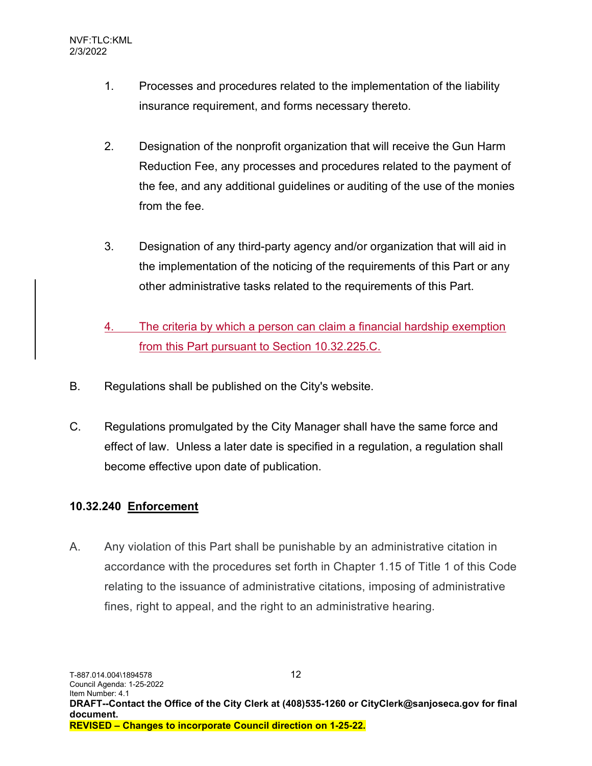- 1. Processes and procedures related to the implementation of the liability insurance requirement, and forms necessary thereto.
- 2. Designation of the nonprofit organization that will receive the Gun Harm Reduction Fee, any processes and procedures related to the payment of the fee, and any additional guidelines or auditing of the use of the monies from the fee.
- 3. Designation of any third-party agency and/or organization that will aid in the implementation of the noticing of the requirements of this Part or any other administrative tasks related to the requirements of this Part.
- 4. The criteria by which a person can claim a financial hardship exemption from this Part pursuant to Section 10.32.225.C.
- B. Regulations shall be published on the City's website.
- C. Regulations promulgated by the City Manager shall have the same force and effect of law. Unless a later date is specified in a regulation, a regulation shall become effective upon date of publication.

# 10.32.240 Enforcement

A. Any violation of this Part shall be punishable by an administrative citation in accordance with the procedures set forth in Chapter 1.15 of Title 1 of this Code relating to the issuance of administrative citations, imposing of administrative fines, right to appeal, and the right to an administrative hearing.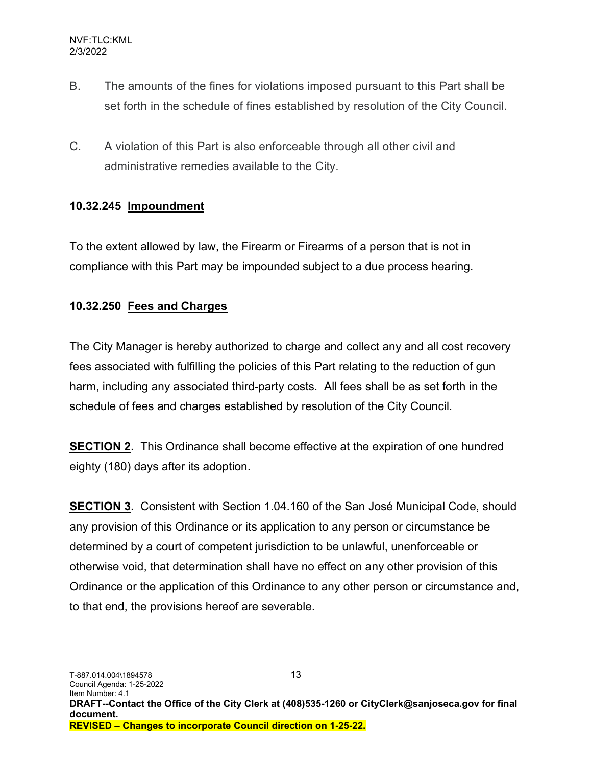- B. The amounts of the fines for violations imposed pursuant to this Part shall be set forth in the schedule of fines established by resolution of the City Council.
- C. A violation of this Part is also enforceable through all other civil and administrative remedies available to the City.

## 10.32.245 Impoundment

To the extent allowed by law, the Firearm or Firearms of a person that is not in compliance with this Part may be impounded subject to a due process hearing.

# 10.32.250 Fees and Charges

The City Manager is hereby authorized to charge and collect any and all cost recovery fees associated with fulfilling the policies of this Part relating to the reduction of gun harm, including any associated third-party costs. All fees shall be as set forth in the schedule of fees and charges established by resolution of the City Council.

SECTION 2. This Ordinance shall become effective at the expiration of one hundred eighty (180) days after its adoption.

SECTION 3. Consistent with Section 1.04.160 of the San José Municipal Code, should any provision of this Ordinance or its application to any person or circumstance be determined by a court of competent jurisdiction to be unlawful, unenforceable or otherwise void, that determination shall have no effect on any other provision of this Ordinance or the application of this Ordinance to any other person or circumstance and, to that end, the provisions hereof are severable.